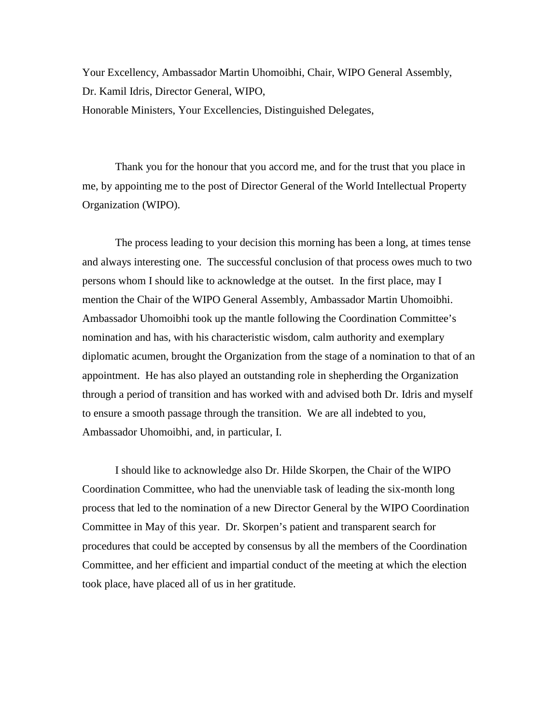Your Excellency, Ambassador Martin Uhomoibhi, Chair, WIPO General Assembly, Dr. Kamil Idris, Director General, WIPO, Honorable Ministers, Your Excellencies, Distinguished Delegates,

Thank you for the honour that you accord me, and for the trust that you place in me, by appointing me to the post of Director General of the World Intellectual Property Organization (WIPO).

The process leading to your decision this morning has been a long, at times tense and always interesting one. The successful conclusion of that process owes much to two persons whom I should like to acknowledge at the outset. In the first place, may I mention the Chair of the WIPO General Assembly, Ambassador Martin Uhomoibhi. Ambassador Uhomoibhi took up the mantle following the Coordination Committee's nomination and has, with his characteristic wisdom, calm authority and exemplary diplomatic acumen, brought the Organization from the stage of a nomination to that of an appointment. He has also played an outstanding role in shepherding the Organization through a period of transition and has worked with and advised both Dr. Idris and myself to ensure a smooth passage through the transition. We are all indebted to you, Ambassador Uhomoibhi, and, in particular, I.

I should like to acknowledge also Dr. Hilde Skorpen, the Chair of the WIPO Coordination Committee, who had the unenviable task of leading the six-month long process that led to the nomination of a new Director General by the WIPO Coordination Committee in May of this year. Dr. Skorpen's patient and transparent search for procedures that could be accepted by consensus by all the members of the Coordination Committee, and her efficient and impartial conduct of the meeting at which the election took place, have placed all of us in her gratitude.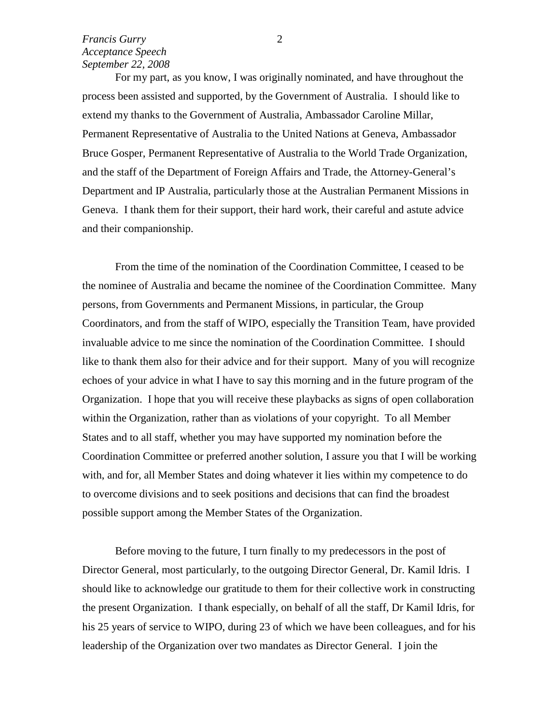For my part, as you know, I was originally nominated, and have throughout the process been assisted and supported, by the Government of Australia. I should like to extend my thanks to the Government of Australia, Ambassador Caroline Millar, Permanent Representative of Australia to the United Nations at Geneva, Ambassador Bruce Gosper, Permanent Representative of Australia to the World Trade Organization, and the staff of the Department of Foreign Affairs and Trade, the Attorney-General's Department and IP Australia, particularly those at the Australian Permanent Missions in Geneva. I thank them for their support, their hard work, their careful and astute advice and their companionship.

From the time of the nomination of the Coordination Committee, I ceased to be the nominee of Australia and became the nominee of the Coordination Committee. Many persons, from Governments and Permanent Missions, in particular, the Group Coordinators, and from the staff of WIPO, especially the Transition Team, have provided invaluable advice to me since the nomination of the Coordination Committee. I should like to thank them also for their advice and for their support. Many of you will recognize echoes of your advice in what I have to say this morning and in the future program of the Organization. I hope that you will receive these playbacks as signs of open collaboration within the Organization, rather than as violations of your copyright. To all Member States and to all staff, whether you may have supported my nomination before the Coordination Committee or preferred another solution, I assure you that I will be working with, and for, all Member States and doing whatever it lies within my competence to do to overcome divisions and to seek positions and decisions that can find the broadest possible support among the Member States of the Organization.

Before moving to the future, I turn finally to my predecessors in the post of Director General, most particularly, to the outgoing Director General, Dr. Kamil Idris. I should like to acknowledge our gratitude to them for their collective work in constructing the present Organization. I thank especially, on behalf of all the staff, Dr Kamil Idris, for his 25 years of service to WIPO, during 23 of which we have been colleagues, and for his leadership of the Organization over two mandates as Director General. I join the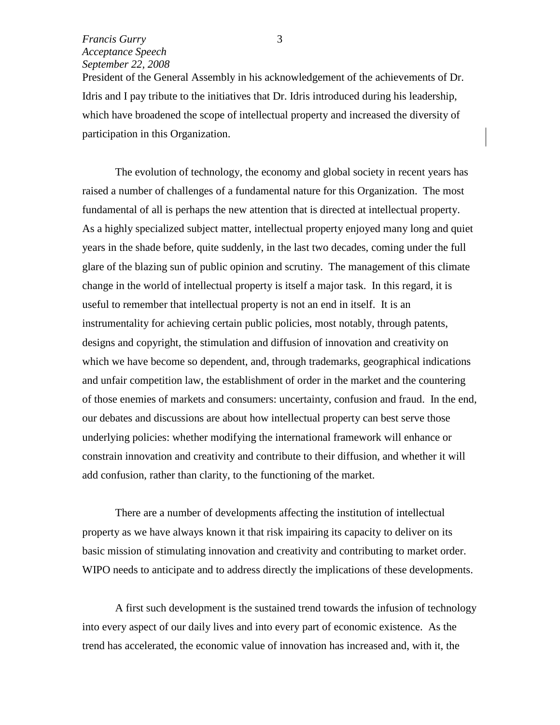President of the General Assembly in his acknowledgement of the achievements of Dr. Idris and I pay tribute to the initiatives that Dr. Idris introduced during his leadership, which have broadened the scope of intellectual property and increased the diversity of participation in this Organization.

The evolution of technology, the economy and global society in recent years has raised a number of challenges of a fundamental nature for this Organization. The most fundamental of all is perhaps the new attention that is directed at intellectual property. As a highly specialized subject matter, intellectual property enjoyed many long and quiet years in the shade before, quite suddenly, in the last two decades, coming under the full glare of the blazing sun of public opinion and scrutiny. The management of this climate change in the world of intellectual property is itself a major task. In this regard, it is useful to remember that intellectual property is not an end in itself. It is an instrumentality for achieving certain public policies, most notably, through patents, designs and copyright, the stimulation and diffusion of innovation and creativity on which we have become so dependent, and, through trademarks, geographical indications and unfair competition law, the establishment of order in the market and the countering of those enemies of markets and consumers: uncertainty, confusion and fraud. In the end, our debates and discussions are about how intellectual property can best serve those underlying policies: whether modifying the international framework will enhance or constrain innovation and creativity and contribute to their diffusion, and whether it will add confusion, rather than clarity, to the functioning of the market.

There are a number of developments affecting the institution of intellectual property as we have always known it that risk impairing its capacity to deliver on its basic mission of stimulating innovation and creativity and contributing to market order. WIPO needs to anticipate and to address directly the implications of these developments.

A first such development is the sustained trend towards the infusion of technology into every aspect of our daily lives and into every part of economic existence. As the trend has accelerated, the economic value of innovation has increased and, with it, the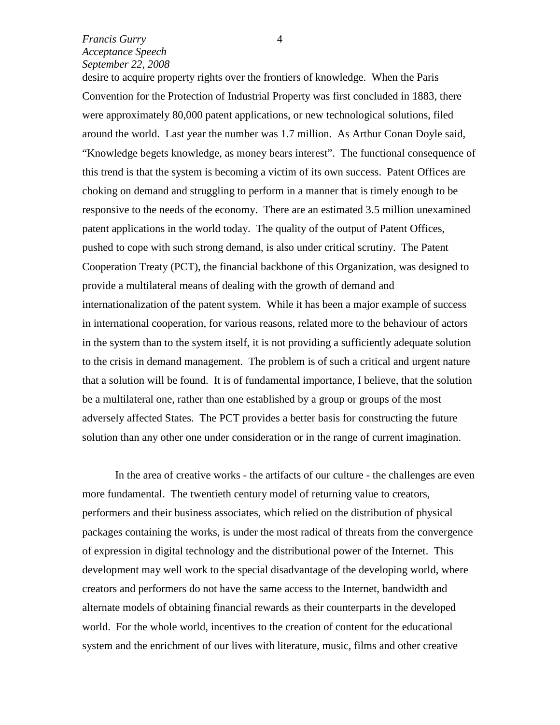desire to acquire property rights over the frontiers of knowledge. When the Paris Convention for the Protection of Industrial Property was first concluded in 1883, there were approximately 80,000 patent applications, or new technological solutions, filed around the world. Last year the number was 1.7 million. As Arthur Conan Doyle said, "Knowledge begets knowledge, as money bears interest". The functional consequence of this trend is that the system is becoming a victim of its own success. Patent Offices are choking on demand and struggling to perform in a manner that is timely enough to be responsive to the needs of the economy. There are an estimated 3.5 million unexamined patent applications in the world today. The quality of the output of Patent Offices, pushed to cope with such strong demand, is also under critical scrutiny. The Patent Cooperation Treaty (PCT), the financial backbone of this Organization, was designed to provide a multilateral means of dealing with the growth of demand and internationalization of the patent system. While it has been a major example of success in international cooperation, for various reasons, related more to the behaviour of actors in the system than to the system itself, it is not providing a sufficiently adequate solution to the crisis in demand management. The problem is of such a critical and urgent nature that a solution will be found. It is of fundamental importance, I believe, that the solution be a multilateral one, rather than one established by a group or groups of the most adversely affected States. The PCT provides a better basis for constructing the future solution than any other one under consideration or in the range of current imagination.

In the area of creative works - the artifacts of our culture - the challenges are even more fundamental. The twentieth century model of returning value to creators, performers and their business associates, which relied on the distribution of physical packages containing the works, is under the most radical of threats from the convergence of expression in digital technology and the distributional power of the Internet. This development may well work to the special disadvantage of the developing world, where creators and performers do not have the same access to the Internet, bandwidth and alternate models of obtaining financial rewards as their counterparts in the developed world. For the whole world, incentives to the creation of content for the educational system and the enrichment of our lives with literature, music, films and other creative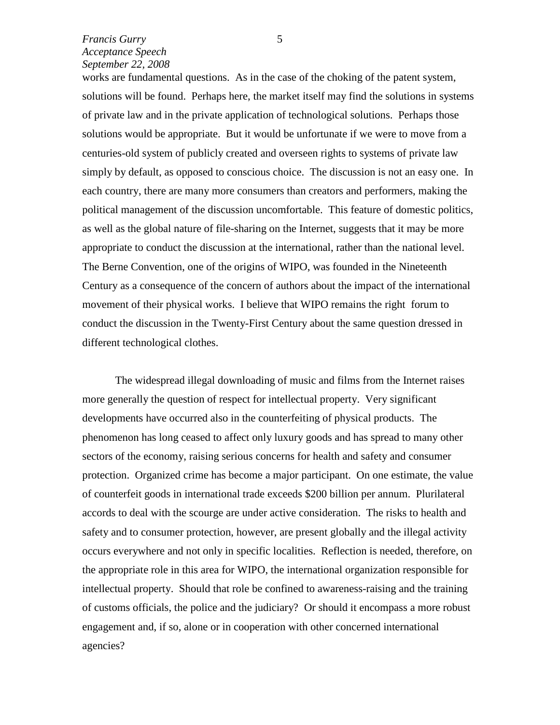works are fundamental questions. As in the case of the choking of the patent system, solutions will be found. Perhaps here, the market itself may find the solutions in systems of private law and in the private application of technological solutions. Perhaps those solutions would be appropriate. But it would be unfortunate if we were to move from a centuries-old system of publicly created and overseen rights to systems of private law simply by default, as opposed to conscious choice. The discussion is not an easy one. In each country, there are many more consumers than creators and performers, making the political management of the discussion uncomfortable. This feature of domestic politics, as well as the global nature of file-sharing on the Internet, suggests that it may be more appropriate to conduct the discussion at the international, rather than the national level. The Berne Convention, one of the origins of WIPO, was founded in the Nineteenth Century as a consequence of the concern of authors about the impact of the international movement of their physical works. I believe that WIPO remains the right forum to conduct the discussion in the Twenty-First Century about the same question dressed in different technological clothes.

The widespread illegal downloading of music and films from the Internet raises more generally the question of respect for intellectual property. Very significant developments have occurred also in the counterfeiting of physical products. The phenomenon has long ceased to affect only luxury goods and has spread to many other sectors of the economy, raising serious concerns for health and safety and consumer protection. Organized crime has become a major participant. On one estimate, the value of counterfeit goods in international trade exceeds \$200 billion per annum. Plurilateral accords to deal with the scourge are under active consideration. The risks to health and safety and to consumer protection, however, are present globally and the illegal activity occurs everywhere and not only in specific localities. Reflection is needed, therefore, on the appropriate role in this area for WIPO, the international organization responsible for intellectual property. Should that role be confined to awareness-raising and the training of customs officials, the police and the judiciary? Or should it encompass a more robust engagement and, if so, alone or in cooperation with other concerned international agencies?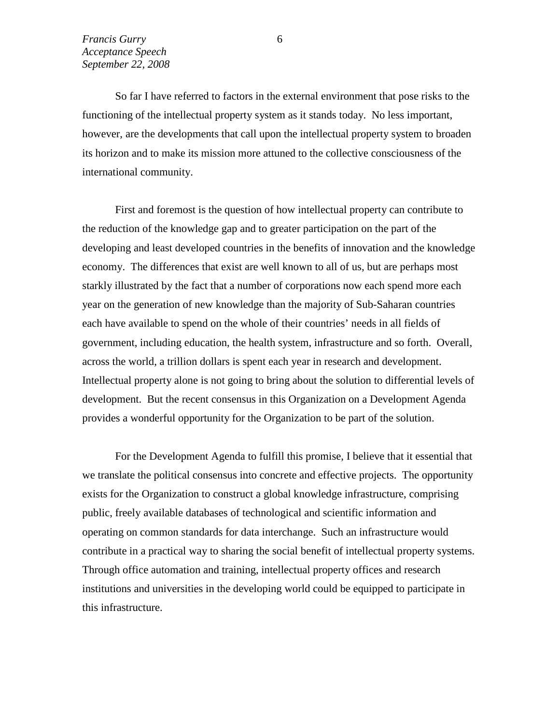So far I have referred to factors in the external environment that pose risks to the functioning of the intellectual property system as it stands today. No less important, however, are the developments that call upon the intellectual property system to broaden its horizon and to make its mission more attuned to the collective consciousness of the international community.

First and foremost is the question of how intellectual property can contribute to the reduction of the knowledge gap and to greater participation on the part of the developing and least developed countries in the benefits of innovation and the knowledge economy. The differences that exist are well known to all of us, but are perhaps most starkly illustrated by the fact that a number of corporations now each spend more each year on the generation of new knowledge than the majority of Sub-Saharan countries each have available to spend on the whole of their countries' needs in all fields of government, including education, the health system, infrastructure and so forth. Overall, across the world, a trillion dollars is spent each year in research and development. Intellectual property alone is not going to bring about the solution to differential levels of development. But the recent consensus in this Organization on a Development Agenda provides a wonderful opportunity for the Organization to be part of the solution.

For the Development Agenda to fulfill this promise, I believe that it essential that we translate the political consensus into concrete and effective projects. The opportunity exists for the Organization to construct a global knowledge infrastructure, comprising public, freely available databases of technological and scientific information and operating on common standards for data interchange. Such an infrastructure would contribute in a practical way to sharing the social benefit of intellectual property systems. Through office automation and training, intellectual property offices and research institutions and universities in the developing world could be equipped to participate in this infrastructure.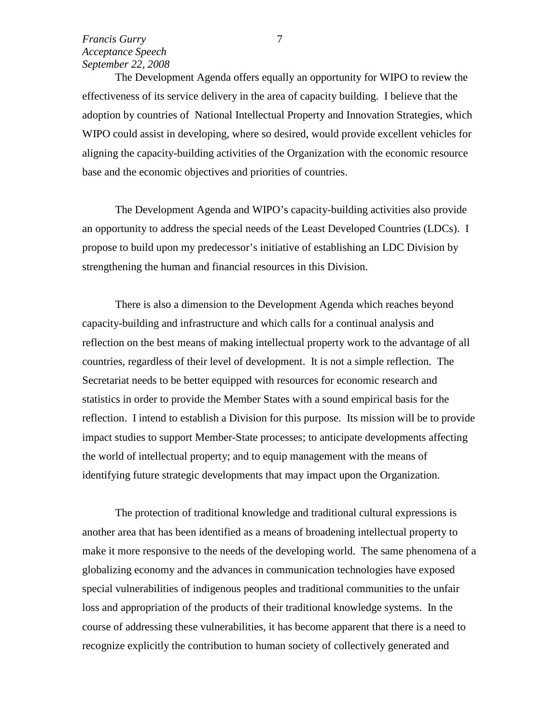The Development Agenda offers equally an opportunity for WIPO to review the effectiveness of its service delivery in the area of capacity building. I believe that the adoption by countries of National Intellectual Property and Innovation Strategies, which WIPO could assist in developing, where so desired, would provide excellent vehicles for aligning the capacity-building activities of the Organization with the economic resource base and the economic objectives and priorities of countries.

The Development Agenda and WIPO's capacity-building activities also provide an opportunity to address the special needs of the Least Developed Countries (LDCs). I propose to build upon my predecessor's initiative of establishing an LDC Division by strengthening the human and financial resources in this Division.

There is also a dimension to the Development Agenda which reaches beyond capacity-building and infrastructure and which calls for a continual analysis and reflection on the best means of making intellectual property work to the advantage of all countries, regardless of their level of development. It is not a simple reflection. The Secretariat needs to be better equipped with resources for economic research and statistics in order to provide the Member States with a sound empirical basis for the reflection. I intend to establish a Division for this purpose. Its mission will be to provide impact studies to support Member-State processes; to anticipate developments affecting the world of intellectual property; and to equip management with the means of identifying future strategic developments that may impact upon the Organization.

The protection of traditional knowledge and traditional cultural expressions is another area that has been identified as a means of broadening intellectual property to make it more responsive to the needs of the developing world. The same phenomena of a globalizing economy and the advances in communication technologies have exposed special vulnerabilities of indigenous peoples and traditional communities to the unfair loss and appropriation of the products of their traditional knowledge systems. In the course of addressing these vulnerabilities, it has become apparent that there is a need to recognize explicitly the contribution to human society of collectively generated and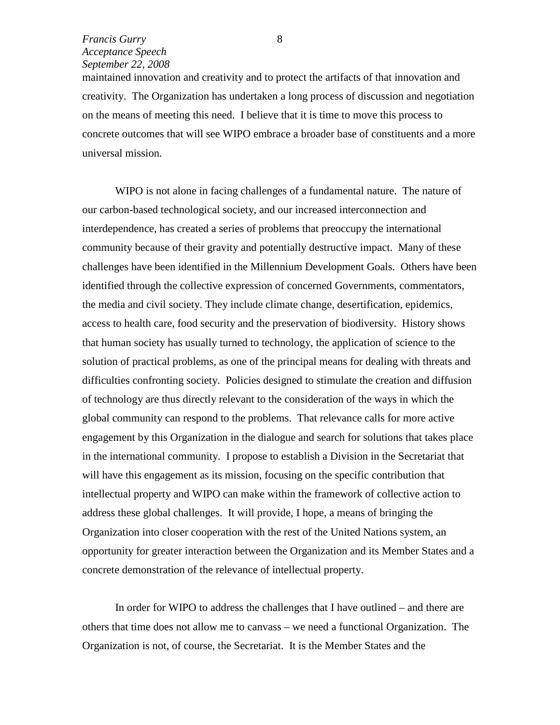maintained innovation and creativity and to protect the artifacts of that innovation and creativity. The Organization has undertaken a long process of discussion and negotiation on the means of meeting this need. I believe that it is time to move this process to concrete outcomes that will see WIPO embrace a broader base of constituents and a more universal mission.

WIPO is not alone in facing challenges of a fundamental nature. The nature of our carbon-based technological society, and our increased interconnection and interdependence, has created a series of problems that preoccupy the international community because of their gravity and potentially destructive impact. Many of these challenges have been identified in the Millennium Development Goals. Others have been identified through the collective expression of concerned Governments, commentators, the media and civil society. They include climate change, desertification, epidemics, access to health care, food security and the preservation of biodiversity. History shows that human society has usually turned to technology, the application of science to the solution of practical problems, as one of the principal means for dealing with threats and difficulties confronting society. Policies designed to stimulate the creation and diffusion of technology are thus directly relevant to the consideration of the ways in which the global community can respond to the problems. That relevance calls for more active engagement by this Organization in the dialogue and search for solutions that takes place in the international community. I propose to establish a Division in the Secretariat that will have this engagement as its mission, focusing on the specific contribution that intellectual property and WIPO can make within the framework of collective action to address these global challenges. It will provide, I hope, a means of bringing the Organization into closer cooperation with the rest of the United Nations system, an opportunity for greater interaction between the Organization and its Member States and a concrete demonstration of the relevance of intellectual property.

In order for WIPO to address the challenges that I have outlined – and there are others that time does not allow me to canvass – we need a functional Organization. The Organization is not, of course, the Secretariat. It is the Member States and the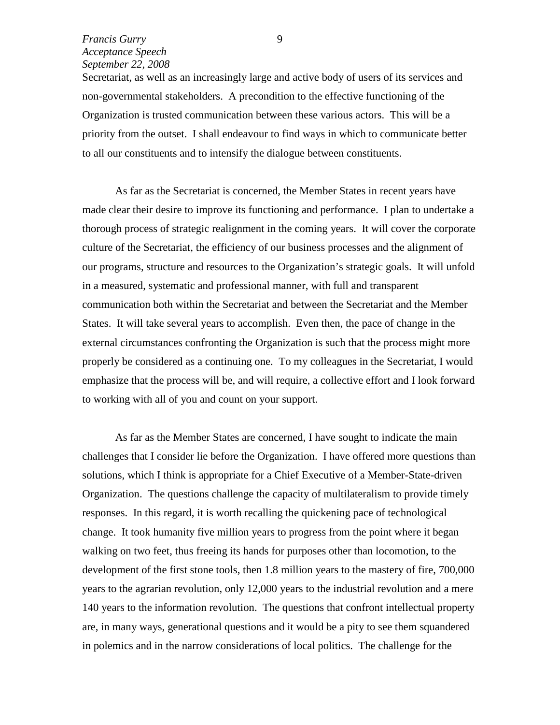Secretariat, as well as an increasingly large and active body of users of its services and non-governmental stakeholders. A precondition to the effective functioning of the Organization is trusted communication between these various actors. This will be a priority from the outset. I shall endeavour to find ways in which to communicate better to all our constituents and to intensify the dialogue between constituents.

As far as the Secretariat is concerned, the Member States in recent years have made clear their desire to improve its functioning and performance. I plan to undertake a thorough process of strategic realignment in the coming years. It will cover the corporate culture of the Secretariat, the efficiency of our business processes and the alignment of our programs, structure and resources to the Organization's strategic goals. It will unfold in a measured, systematic and professional manner, with full and transparent communication both within the Secretariat and between the Secretariat and the Member States. It will take several years to accomplish. Even then, the pace of change in the external circumstances confronting the Organization is such that the process might more properly be considered as a continuing one. To my colleagues in the Secretariat, I would emphasize that the process will be, and will require, a collective effort and I look forward to working with all of you and count on your support.

As far as the Member States are concerned, I have sought to indicate the main challenges that I consider lie before the Organization. I have offered more questions than solutions, which I think is appropriate for a Chief Executive of a Member-State-driven Organization. The questions challenge the capacity of multilateralism to provide timely responses. In this regard, it is worth recalling the quickening pace of technological change. It took humanity five million years to progress from the point where it began walking on two feet, thus freeing its hands for purposes other than locomotion, to the development of the first stone tools, then 1.8 million years to the mastery of fire, 700,000 years to the agrarian revolution, only 12,000 years to the industrial revolution and a mere 140 years to the information revolution. The questions that confront intellectual property are, in many ways, generational questions and it would be a pity to see them squandered in polemics and in the narrow considerations of local politics. The challenge for the